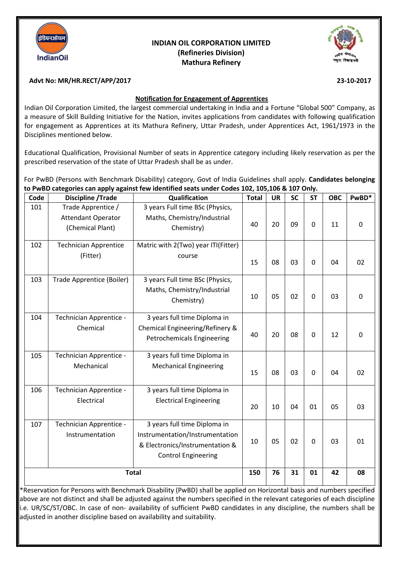

# **INDIAN OIL CORPORATION LIMITED (Refineries Division) Mathura Refinery**



### **Advt No: MR/HR.RECT/APP/2017 23-10-2017**

#### **Notification for Engagement of Apprentices**

Indian Oil Corporation Limited, the largest commercial undertaking in India and a Fortune "Global 500" Company, as a measure of Skill Building Initiative for the Nation, invites applications from candidates with following qualification for engagement as Apprentices at its Mathura Refinery, Uttar Pradesh, under Apprentices Act, 1961/1973 in the Disciplines mentioned below.

Educational Qualification, Provisional Number of seats in Apprentice category including likely reservation as per the prescribed reservation of the state of Uttar Pradesh shall be as under.

For PwBD (Persons with Benchmark Disability) category, Govt of India Guidelines shall apply. **Candidates belonging to PwBD categories can apply against few identified seats under Codes 102, 105,106 & 107 Only.**

| Code | <b>Discipline / Trade</b>                                           | Qualification                                                                                                                    | <b>Total</b> | <b>UR</b> | <b>SC</b> | <b>ST</b>      | <b>OBC</b> | PwBD*       |
|------|---------------------------------------------------------------------|----------------------------------------------------------------------------------------------------------------------------------|--------------|-----------|-----------|----------------|------------|-------------|
| 101  | Trade Apprentice /<br><b>Attendant Operator</b><br>(Chemical Plant) | 3 years Full time BSc (Physics,<br>Maths, Chemistry/Industrial<br>Chemistry)                                                     | 40           | 20        | 09        | $\mathbf 0$    | 11         | $\mathbf 0$ |
| 102  | <b>Technician Apprentice</b><br>(Fitter)                            | Matric with 2(Two) year ITI(Fitter)<br>course                                                                                    | 15           | 08        | 03        | $\Omega$       | 04         | 02          |
| 103  | Trade Apprentice (Boiler)                                           | 3 years Full time BSc (Physics,<br>Maths, Chemistry/Industrial<br>Chemistry)                                                     | 10           | 05        | 02        | $\mathbf 0$    | 03         | $\pmb{0}$   |
| 104  | Technician Apprentice -<br>Chemical                                 | 3 years full time Diploma in<br>Chemical Engineering/Refinery &<br>Petrochemicals Engineering                                    | 40           | 20        | 08        | $\mathbf 0$    | 12         | $\mathbf 0$ |
| 105  | Technician Apprentice -<br>Mechanical                               | 3 years full time Diploma in<br><b>Mechanical Engineering</b>                                                                    | 15           | 08        | 03        | $\overline{0}$ | 04         | 02          |
| 106  | Technician Apprentice -<br>Electrical                               | 3 years full time Diploma in<br><b>Electrical Engineering</b>                                                                    | 20           | 10        | 04        | 01             | 05         | 03          |
| 107  | Technician Apprentice -<br>Instrumentation                          | 3 years full time Diploma in<br>Instrumentation/Instrumentation<br>& Electronics/Instrumentation &<br><b>Control Engineering</b> | 10           | 05        | 02        | $\mathbf 0$    | 03         | 01          |
|      |                                                                     | <b>Total</b>                                                                                                                     | 150          | 76        | 31        | 01             | 42         | 08          |

\*Reservation for Persons with Benchmark Disability (PwBD) shall be applied on Horizontal basis and numbers specified above are not distinct and shall be adjusted against the numbers specified in the relevant categories of each discipline i.e. UR/SC/ST/OBC. In case of non- availability of sufficient PwBD candidates in any discipline, the numbers shall be adjusted in another discipline based on availability and suitability.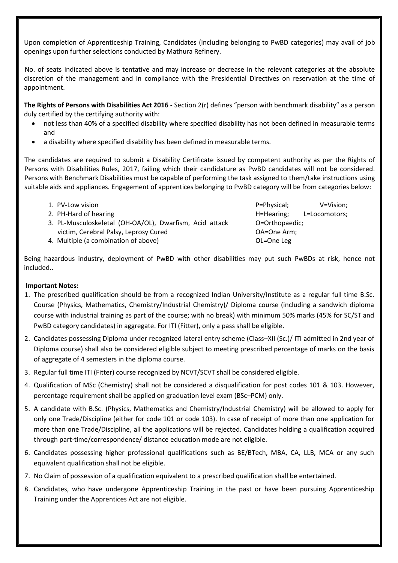Upon completion of Apprenticeship Training, Candidates (including belonging to PwBD categories) may avail of job openings upon further selections conducted by Mathura Refinery.

 No. of seats indicated above is tentative and may increase or decrease in the relevant categories at the absolute discretion of the management and in compliance with the Presidential Directives on reservation at the time of appointment.

**The Rights of Persons with Disabilities Act 2016 -** Section 2(r) defines "person with benchmark disability" as a person duly certified by the certifying authority with:

- not less than 40% of a specified disability where specified disability has not been defined in measurable terms and
- a disability where specified disability has been defined in measurable terms.

The candidates are required to submit a Disability Certificate issued by competent authority as per the Rights of Persons with Disabilities Rules, 2017, failing which their candidature as PwBD candidates will not be considered. Persons with Benchmark Disabilities must be capable of performing the task assigned to them/take instructions using suitable aids and appliances. Engagement of apprentices belonging to PwBD category will be from categories below:

| 1. PV-Low vision                                        |  |  |  |  |
|---------------------------------------------------------|--|--|--|--|
| 2. PH-Hard of hearing                                   |  |  |  |  |
| 3. PL-Musculoskeletal (OH-OA/OL), Dwarfism, Acid attack |  |  |  |  |
| victim, Cerebral Palsy, Leprosy Cured                   |  |  |  |  |
|                                                         |  |  |  |  |

4. Multiple (a combination of above)

P=Physical; V=Vision; H=Hearing; L=Locomotors; O=Orthopaedic; OA=One Arm; OL=One Leg

Being hazardous industry, deployment of PwBD with other disabilities may put such PwBDs at risk, hence not included..

### **Important Notes:**

- 1. The prescribed qualification should be from a recognized Indian University/Institute as a regular full time B.Sc. Course (Physics, Mathematics, Chemistry/Industrial Chemistry)/ Diploma course (including a sandwich diploma course with industrial training as part of the course; with no break) with minimum 50% marks (45% for SC/ST and PwBD category candidates) in aggregate. For ITI (Fitter), only a pass shall be eligible.
- 2. Candidates possessing Diploma under recognized lateral entry scheme (Class–XII (Sc.)/ ITI admitted in 2nd year of Diploma course) shall also be considered eligible subject to meeting prescribed percentage of marks on the basis of aggregate of 4 semesters in the diploma course.
- 3. Regular full time ITI (Fitter) course recognized by NCVT/SCVT shall be considered eligible.
- 4. Qualification of MSc (Chemistry) shall not be considered a disqualification for post codes 101 & 103. However, percentage requirement shall be applied on graduation level exam (BSc–PCM) only.
- 5. A candidate with B.Sc. (Physics, Mathematics and Chemistry/Industrial Chemistry) will be allowed to apply for only one Trade/Discipline (either for code 101 or code 103). In case of receipt of more than one application for more than one Trade/Discipline, all the applications will be rejected. Candidates holding a qualification acquired through part-time/correspondence/ distance education mode are not eligible.
- 6. Candidates possessing higher professional qualifications such as BE/BTech, MBA, CA, LLB, MCA or any such equivalent qualification shall not be eligible.
- 7. No Claim of possession of a qualification equivalent to a prescribed qualification shall be entertained.
- 8. Candidates, who have undergone Apprenticeship Training in the past or have been pursuing Apprenticeship Training under the Apprentices Act are not eligible.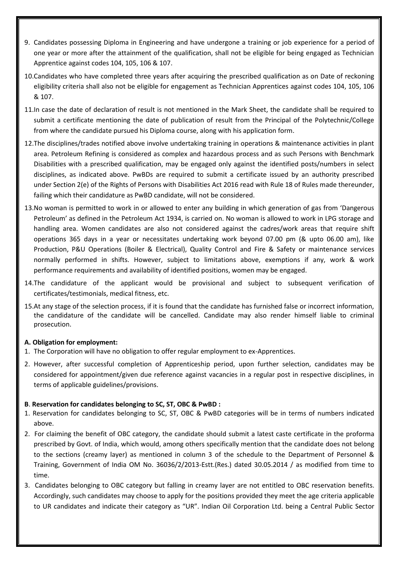- 9. Candidates possessing Diploma in Engineering and have undergone a training or job experience for a period of one year or more after the attainment of the qualification, shall not be eligible for being engaged as Technician Apprentice against codes 104, 105, 106 & 107.
- 10.Candidates who have completed three years after acquiring the prescribed qualification as on Date of reckoning eligibility criteria shall also not be eligible for engagement as Technician Apprentices against codes 104, 105, 106 & 107.
- 11.In case the date of declaration of result is not mentioned in the Mark Sheet, the candidate shall be required to submit a certificate mentioning the date of publication of result from the Principal of the Polytechnic/College from where the candidate pursued his Diploma course, along with his application form.
- 12.The disciplines/trades notified above involve undertaking training in operations & maintenance activities in plant area. Petroleum Refining is considered as complex and hazardous process and as such Persons with Benchmark Disabilities with a prescribed qualification, may be engaged only against the identified posts/numbers in select disciplines, as indicated above. PwBDs are required to submit a certificate issued by an authority prescribed under Section 2(e) of the Rights of Persons with Disabilities Act 2016 read with Rule 18 of Rules made thereunder, failing which their candidature as PwBD candidate, will not be considered.
- 13.No woman is permitted to work in or allowed to enter any building in which generation of gas from 'Dangerous Petroleum' as defined in the Petroleum Act 1934, is carried on. No woman is allowed to work in LPG storage and handling area. Women candidates are also not considered against the cadres/work areas that require shift operations 365 days in a year or necessitates undertaking work beyond 07.00 pm (& upto 06.00 am), like Production, P&U Operations (Boiler & Electrical), Quality Control and Fire & Safety or maintenance services normally performed in shifts. However, subject to limitations above, exemptions if any, work & work performance requirements and availability of identified positions, women may be engaged.
- 14.The candidature of the applicant would be provisional and subject to subsequent verification of certificates/testimonials, medical fitness, etc.
- 15.At any stage of the selection process, if it is found that the candidate has furnished false or incorrect information, the candidature of the candidate will be cancelled. Candidate may also render himself liable to criminal prosecution.

### **A. Obligation for employment:**

- 1. The Corporation will have no obligation to offer regular employment to ex-Apprentices.
- 2. However, after successful completion of Apprenticeship period, upon further selection, candidates may be considered for appointment/given due reference against vacancies in a regular post in respective disciplines, in terms of applicable guidelines/provisions.

### **B**. **Reservation for candidates belonging to SC, ST, OBC & PwBD :**

- 1. Reservation for candidates belonging to SC, ST, OBC & PwBD categories will be in terms of numbers indicated above.
- 2. For claiming the benefit of OBC category, the candidate should submit a latest caste certificate in the proforma prescribed by Govt. of India, which would, among others specifically mention that the candidate does not belong to the sections (creamy layer) as mentioned in column 3 of the schedule to the Department of Personnel & Training, Government of India OM No. 36036/2/2013-Estt.(Res.) dated 30.05.2014 / as modified from time to time.
- 3. Candidates belonging to OBC category but falling in creamy layer are not entitled to OBC reservation benefits. Accordingly, such candidates may choose to apply for the positions provided they meet the age criteria applicable to UR candidates and indicate their category as "UR". Indian Oil Corporation Ltd. being a Central Public Sector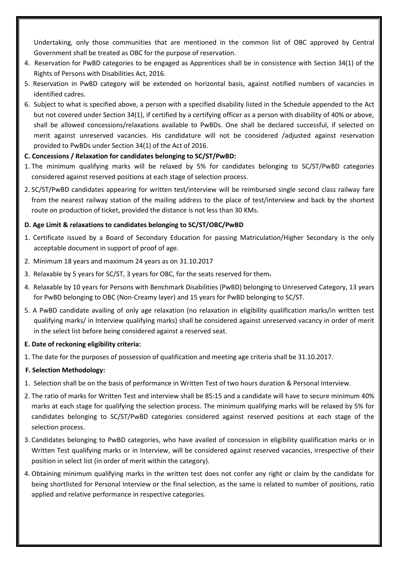Undertaking, only those communities that are mentioned in the common list of OBC approved by Central Government shall be treated as OBC for the purpose of reservation.

- 4. Reservation for PwBD categories to be engaged as Apprentices shall be in consistence with Section 34(1) of the Rights of Persons with Disabilities Act, 2016.
- 5. Reservation in PwBD category will be extended on horizontal basis, against notified numbers of vacancies in identified cadres.
- 6. Subject to what is specified above, a person with a specified disability listed in the Schedule appended to the Act but not covered under Section 34(1), if certified by a certifying officer as a person with disability of 40% or above, shall be allowed concessions/relaxations available to PwBDs. One shall be declared successful, if selected on merit against unreserved vacancies. His candidature will not be considered /adjusted against reservation provided to PwBDs under Section 34(1) of the Act of 2016.

### **C. Concessions / Relaxation for candidates belonging to SC/ST/PwBD:**

- 1. The minimum qualifying marks will be relaxed by 5% for candidates belonging to SC/ST/PwBD categories considered against reserved positions at each stage of selection process.
- 2. SC/ST/PwBD candidates appearing for written test/interview will be reimbursed single second class railway fare from the nearest railway station of the mailing address to the place of test/interview and back by the shortest route on production of ticket, provided the distance is not less than 30 KMs.

# **D. Age Limit & relaxations to candidates belonging to SC/ST/OBC/PwBD**

- 1. Certificate issued by a Board of Secondary Education for passing Matriculation/Higher Secondary is the only acceptable document in support of proof of age.
- 2. Minimum 18 years and maximum 24 years as on 31.10.2017
- 3. Relaxable by 5 years for SC/ST, 3 years for OBC, for the seats reserved for them.
- 4. Relaxable by 10 years for Persons with Benchmark Disabilities (PwBD) belonging to Unreserved Category, 13 years for PwBD belonging to OBC (Non-Creamy layer) and 15 years for PwBD belonging to SC/ST.
- 5. A PwBD candidate availing of only age relaxation (no relaxation in eligibility qualification marks/in written test qualifying marks/ in Interview qualifying marks) shall be considered against unreserved vacancy in order of merit in the select list before being considered against a reserved seat.

### **E. Date of reckoning eligibility criteria:**

1. The date for the purposes of possession of qualification and meeting age criteria shall be 31.10.2017.

# **F. Selection Methodology:**

- 1. Selection shall be on the basis of performance in Written Test of two hours duration & Personal Interview.
- 2. The ratio of marks for Written Test and interview shall be 85:15 and a candidate will have to secure minimum 40% marks at each stage for qualifying the selection process. The minimum qualifying marks will be relaxed by 5% for candidates belonging to SC/ST/PwBD categories considered against reserved positions at each stage of the selection process.
- 3. Candidates belonging to PwBD categories, who have availed of concession in eligibility qualification marks or in Written Test qualifying marks or in Interview, will be considered against reserved vacancies, irrespective of their position in select list (in order of merit within the category).
- 4. Obtaining minimum qualifying marks in the written test does not confer any right or claim by the candidate for being shortlisted for Personal Interview or the final selection, as the same is related to number of positions, ratio applied and relative performance in respective categories.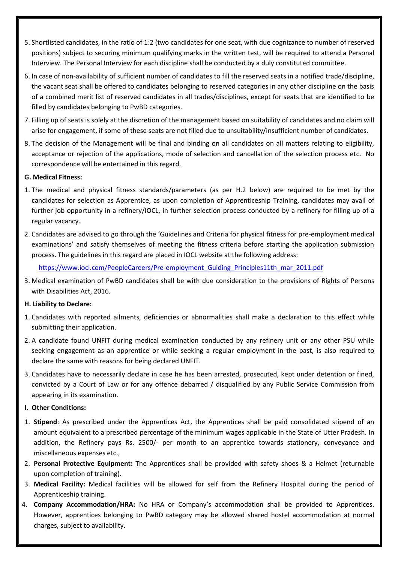- 5. Shortlisted candidates, in the ratio of 1:2 (two candidates for one seat, with due cognizance to number of reserved positions) subject to securing minimum qualifying marks in the written test, will be required to attend a Personal Interview. The Personal Interview for each discipline shall be conducted by a duly constituted committee.
- 6. In case of non-availability of sufficient number of candidates to fill the reserved seats in a notified trade/discipline, the vacant seat shall be offered to candidates belonging to reserved categories in any other discipline on the basis of a combined merit list of reserved candidates in all trades/disciplines, except for seats that are identified to be filled by candidates belonging to PwBD categories.
- 7. Filling up of seats is solely at the discretion of the management based on suitability of candidates and no claim will arise for engagement, if some of these seats are not filled due to unsuitability/insufficient number of candidates.
- 8. The decision of the Management will be final and binding on all candidates on all matters relating to eligibility, acceptance or rejection of the applications, mode of selection and cancellation of the selection process etc. No correspondence will be entertained in this regard.

#### **G. Medical Fitness:**

- 1. The medical and physical fitness standards/parameters (as per H.2 below) are required to be met by the candidates for selection as Apprentice, as upon completion of Apprenticeship Training, candidates may avail of further job opportunity in a refinery/IOCL, in further selection process conducted by a refinery for filling up of a regular vacancy.
- 2. Candidates are advised to go through the 'Guidelines and Criteria for physical fitness for pre-employment medical examinations' and satisfy themselves of meeting the fitness criteria before starting the application submission process. The guidelines in this regard are placed in IOCL website at the following address:

[https://www.iocl.com/PeopleCareers/Pre-employment\\_Guiding\\_Principles11th\\_mar\\_2011.pdf](https://www.iocl.com/PeopleCareers/Pre-employment_Guiding_Principles11th_mar_2011.pdf)

3. Medical examination of PwBD candidates shall be with due consideration to the provisions of Rights of Persons with Disabilities Act, 2016.

### **H. Liability to Declare:**

- 1. Candidates with reported ailments, deficiencies or abnormalities shall make a declaration to this effect while submitting their application.
- 2. A candidate found UNFIT during medical examination conducted by any refinery unit or any other PSU while seeking engagement as an apprentice or while seeking a regular employment in the past, is also required to declare the same with reasons for being declared UNFIT.
- 3. Candidates have to necessarily declare in case he has been arrested, prosecuted, kept under detention or fined, convicted by a Court of Law or for any offence debarred / disqualified by any Public Service Commission from appearing in its examination.

### **I. Other Conditions:**

- 1. **Stipend**: As prescribed under the Apprentices Act, the Apprentices shall be paid consolidated stipend of an amount equivalent to a prescribed percentage of the minimum wages applicable in the State of Utter Pradesh. In addition, the Refinery pays Rs. 2500/- per month to an apprentice towards stationery, conveyance and miscellaneous expenses etc.,
- 2. **Personal Protective Equipment:** The Apprentices shall be provided with safety shoes & a Helmet (returnable upon completion of training).
- 3. **Medical Facility:** Medical facilities will be allowed for self from the Refinery Hospital during the period of Apprenticeship training.
- 4. **Company Accommodation/HRA:** No HRA or Company's accommodation shall be provided to Apprentices. However, apprentices belonging to PwBD category may be allowed shared hostel accommodation at normal charges, subject to availability.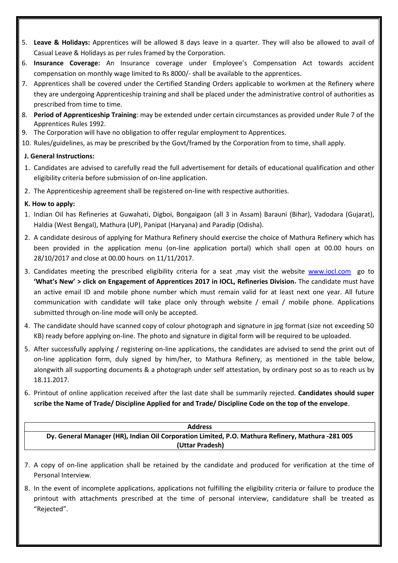- 5. **Leave & Holidays:** Apprentices will be allowed 8 days leave in a quarter. They will also be allowed to avail of Casual Leave & Holidays as per rules framed by the Corporation.
- 6. **Insurance Coverage:** An Insurance coverage under Employee's Compensation Act towards accident compensation on monthly wage limited to Rs 8000/- shall be available to the apprentices.
- 7. Apprentices shall be covered under the Certified Standing Orders applicable to workmen at the Refinery where they are undergoing Apprenticeship training and shall be placed under the administrative control of authorities as prescribed from time to time.
- 8. **Period of Apprenticeship Training**: may be extended under certain circumstances as provided under Rule 7 of the Apprentices Rules 1992.
- 9. The Corporation will have no obligation to offer regular employment to Apprentices.
- 10. Rules/guidelines, as may be prescribed by the Govt/framed by the Corporation from to time, shall apply.

# **J. General Instructions:**

- 1. Candidates are advised to carefully read the full advertisement for details of educational qualification and other eligibility criteria before submission of on-line application.
- 2. The Apprenticeship agreement shall be registered on-line with respective authorities.

# **K. How to apply:**

- 1. Indian Oil has Refineries at Guwahati, Digboi, Bongaigaon (all 3 in Assam) Barauni (Bihar), Vadodara (Gujarat), Haldia (West Bengal), Mathura (UP), Panipat (Haryana) and Paradip (Odisha).
- 2. A candidate desirous of applying for Mathura Refinery should exercise the choice of Mathura Refinery which has been provided in the application menu (on-line application portal) which shall open at 00.00 hours on 28/10/2017 and close at 00.00 hours on 11/11/2017.
- 3. Candidates meeting the prescribed eligibility criteria for a seat ,may visit the website [www.iocl.com](http://www.iocl.com/) go to **'What's New' > click on Engagement of Apprentices 2017 in IOCL, Refineries Division**. The candidate must have an active email ID and mobile phone number which must remain valid for at least next one year. All future communication with candidate will take place only through website / email / mobile phone. Applications submitted through on-line mode will only be accepted.
- 4. The candidate should have scanned copy of colour photograph and signature in jpg format (size not exceeding 50 KB) ready before applying on-line. The photo and signature in digital form will be required to be uploaded.
- 5. After successfully applying / registering on-line applications, the candidates are advised to send the print out of on-line application form, duly signed by him/her, to Mathura Refinery, as mentioned in the table below, alongwith all supporting documents & a photograph under self attestation, by ordinary post so as to reach us by 18.11.2017.
- 6. Printout of online application received after the last date shall be summarily rejected. **Candidates should super scribe the Name of Trade/ Discipline Applied for and Trade/ Discipline Code on the top of the envelope**.

| <b>Address</b>                                                                                    |
|---------------------------------------------------------------------------------------------------|
| Dy. General Manager (HR), Indian Oil Corporation Limited, P.O. Mathura Refinery, Mathura -281 005 |
| (Uttar Pradesh)                                                                                   |

- 7. A copy of on-line application shall be retained by the candidate and produced for verification at the time of Personal Interview.
- 8. In the event of incomplete applications, applications not fulfilling the eligibility criteria or failure to produce the printout with attachments prescribed at the time of personal interview, candidature shall be treated as "Rejected".